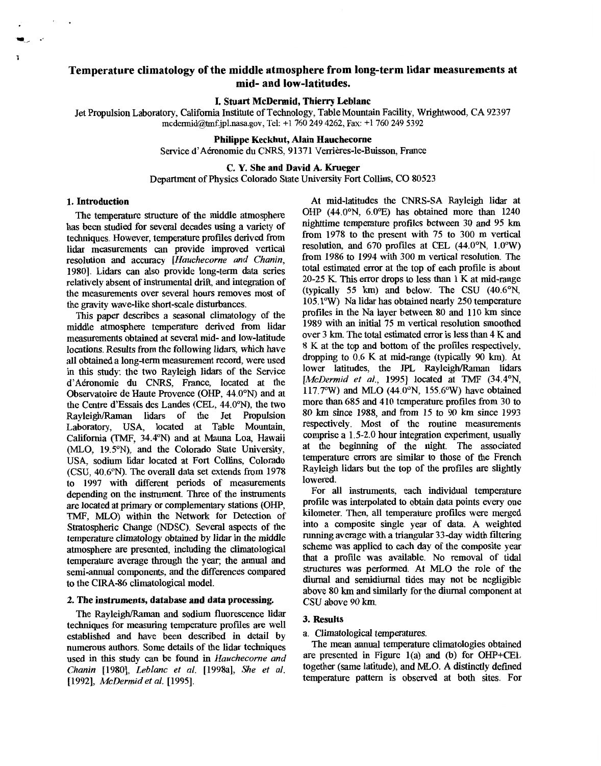# **Temperature climatology of the middle atmosphere from long-term lidar measurements at mid- and low-latitudes.**

# **L Stuart McDermid, Thierry Leblanc**

Jet Propulsion Laboratory, California Institute of Technology, Table Mountain Facility, Wrightwood, CA 92397 **[mcdemid@tmf.jpl.nasa.gov](mailto:mcdemid@tmf.jpl.nasa.gov),** Tel+1760 249 4262, **Fax:** +1760 249 5392

# **Philippe Keckhut, Alain Hauchecorne**

Service d'Aéronomie du CNRS, 91371 Verrières-le-Buisson, France

# **C. Y. She and David A. Krueger**

Department **of** Physics Colorado State University Fort Collins, CO 80523

#### **1. Introduction**

The temperature *structure* **of** the middle atmosphere has been studied for several decades using a variety **of**  techniques. However, temperature profiles derived from lidar measurements *can* provide improved vertical resolution and accuracy *[Hauchecorne and Chanin,*  19801. Lidars *can* also provide long-term data series relatively absent of instrumental *drift,* and integration of the measurements over several hours removes most **of**  the gravity wave-like short-scale disturbances.

**This** paper describes a seasonal climatology **of** the middle atmosphere temperature derived from lidar measurements obtained at several mid- and low-latitude locations. Results from the following lidars, which have all obtained a long-term measurement record, were used in this study: the two Rayleigh lidars of the Service d'Adronomie du CNRS, France, located at the Observatoire de Haute Provence *(OHP, 44.0<sup>o</sup>N)* and at the Centre d'Essais des Landes (CEL, 44.0°N), the two Rayleigh/Raman lidars **of** the Jet Propulsion Laboratory, USA, located at Table Mountain, California (TMF, 34.4"N) and at Mama Loa, Hawaii (MLO, 19.5°N), and the Colorado State University, USA, sodium lidar located at Fort Collins, Colorado (CSU, 40.6°N). The overall data set extends from 1978 to 1997 with different periods of measurements depending on the instrument. Three of the instruments are located at primary or complementary stations (OHP, TMF, MLO) within the Network for Detection **of**  Stratospheric Change (NDSC). *Several* aspects of the temperature climatology obtained by lidar in the middle atmosphere are presented, including the climatological temperature average through the year; the annual and semi-annual components, and the differences compared to the CIRA-86 climatological model.

## **2. The instruments, database and data processing.**

The Rayleigh/Raman and sodium fluorescence lidar techniques for measuring temperature profiles are well established and have been described in detail by numerous authors. Some details of the lidar techniques used in **this** study can be found in *Hauchecorne and Chanin* [1980], *Leblanc et al.* [1998a], *She et al.*  [1992], *McDermid et al.* [1995].

At mid-latitudes the CNRS-SA Rayleigh lidar at OHP (44.0°N, 6.0°E) has obtained more than 1240 nighttime temperature profiles between 30 and 95 km from 1978 to the present with 75 to 300 m vertical resolution, and  $670$  profiles at CEL  $(44.0\text{°N}, 1.0\text{°W})$ from 1986 to 1994 with 300 m vertical resolution. The total estimated error at the top of each profile is about 20-25 K. **This** error drops to less than 1 **K** at mid-range (typically 55 km) and below. The CSU  $(40.6^{\circ}N,$  $105.1$ °W) Na lidar has obtained nearly 250 temperature profiles in the Na layer between **80** and 110 km since 1989 with an initial 75 m vertical resolution smoothed over 3 km. The total estimated error is less than 4 K and **8** K at the top and bottom of the profiles respectively, dropping to 0.6 **K** at mid-range (typically 90 km). At lower latitudes, the JPL Rayleigh/Raman lidars [McDermid et al., 1995] located at TMF (34.4°N,  $117.7^{\circ}$ W) and MLO (44.0°N, 155.6°W) have obtained more than 685 and 410 temperature profiles from 30 to *SO* **km** since 1988, and from 15 to 90 km since 1993 respectively. **Most of** the routine measurements comprise a 1.5-2.0 hour integration experiment, usually at the beginning of the night. The associated temperature errors are similar to those **of** the French Rayleigh lidars but the top of the pmfiles are slightly lowered.

For all instruments, each individual temperature profile was interpolated to obtain data points every one kilometer. Then, all temperature profiles were merged into a composite single year of data. A weighted running average with a triangular 33-day width filtering scheme was applied to each day of the composite year that a profile was available. No removal of tidal structures was performed. At MLO the role **of** the diurnal and semidiurnal tides may not be negligible above **80 km** and similarly for the diurnal component at CSU above 90 km.

## **3. Results**

#### a. Climatological temperatures.

The mean annual temperature climatologies obtained are presented in Figure l(a) and (b) **for** OHP+CEL together (same latitude), and MLO. A distinctly defined temperature pattern is observed at both sites. For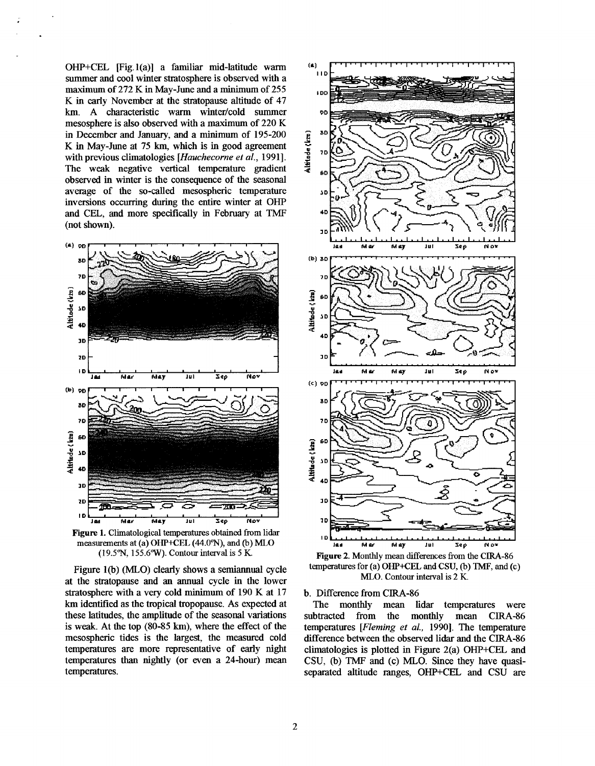OHP+CEL [Fig.l(a)] a familiar mid-latitude warm summer and cool winter stratosphere is observed with a maximum of 272 **K** in May-June and a minimum of 255 **K** in early November at the stratopause altitude of 47 km. A characteristic warm winter/cold summer mesosphere is also observed with **a** maximum **of** 220 K in December and January, and a minimum of 195-200 **K** in May-June at **75 km,** which is in good agreement with previous climatologies *[Huuchecorne et al.,* 19911. The weak negative vertical temperature gradient observed in winter is the consequence **of** the seasonal average of the so-called mesospheric temperature inversions occurring during the entire winter at OHP and CEL, and more specifically in February at TMF (not shown).



Figure 1. Climatological temperatures obtained from lidar measurements at (a)  $OHP+CEL$  (44.0°N), and (b)  $MLO$ **(19.5"N,** 155.6"w). Contour interval is *5* K.

Figure 1(b) (MLO) clearly shows a semiannual cycle at the stratopause and an annual cycle in the lower stratosphere with a very cold minimum of 190 **K** at 17 km identified as the tropical tropopause. As expected at these latitudes, the amplitude of the seasonal variations **is** weak. At the top (80-85 km), where the effect of the mesospheric tides is the largest, the measured cold temperatures are more representative of early night temperatures than nightly (or even a 24-hour) mean temperatures.



**Figure 2.** Monthly mean differences from the CIRA-86 temperatures for (a) OHP+CEL and CSU, (b) TMF, and (c) MLO. Contour interval is 2 K.

b. Difference from CIRA-86

The monthly mean lidar temperatures were subtracted from the monthly mean **CIRA-86** temperatures *[Fleming et al., 1990]*. The temperature difference between the observed lidar and the CIRA-86 climatologies **is** plotted in Figure 2(a) OHP+CEL and CSU, (b) TMF and (c) MLO. Since they have **quasi**separated altitude ranges, OHP+CEL and CSU are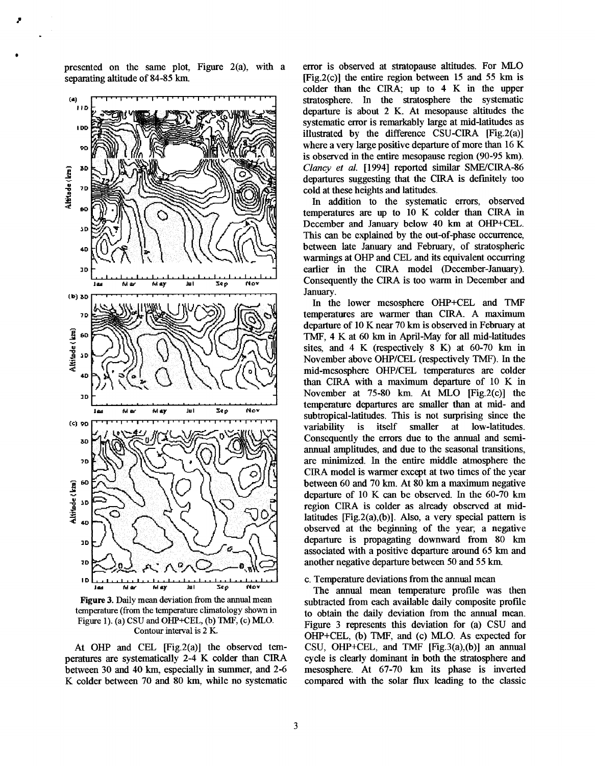presented on the same plot, Figure 2(a), with a separating altitude of 84-85 km.



**Figure 3.** Daily mean deviation from the annual mean temperature (from the temperature climatology shown in Figure **1).** (a) **CSU** and **OHE'+CEL,** (b) TMF, (c) **MLO.**  Contour interval is 2 K.

At *OHP* and CEL [Fig.2(a)] the observed temperatures are systematically 2-4 K colder than CIRA between **30** and 40 **km,** especially in summer, and 2-6 K colder between 70 and 80 km, while no systematic

error is observed at stratopause altitudes. For MLO (Fig.2(c)] the entire region between 15 and **55** km is colder than the CIRA; up to 4 K in the upper stratosphere. In the stratosphere the systematic departure is about 2 K. At mesopause altitudes the systematic error is remarkably large at mid-latitudes as illustrated by the difference CSU-CIRA [Fig.2(a)] where a very large positive departure of more than 16 K is observed in the entire mesopause region (90-95 km). *Clancy et ul.* [1994] reported similar SME/CIRA-86 departures suggesting that the CIRA is definitely too cold at these heights and latitudes.

In addition to the systematic errors, observed temperatures are up to 10 K colder than CIRA in December and January below 40 km at OHP+CEL. This *can* be explained by the out-of-phase occurrence, between late January and February, of stratospheric warmings at *OHP* and CEL and its equivalent occurring earlier in the CIRA model (December-January). Consequently the CIRA is too warm in December and January.

In the lower mesosphere OHP+CEL and TMF temperatures are warmer than CIRA. A maximum departure of 10 K near 70 km is observed in February at TMF, 4 K at *60* km in April-May for all mid-latitudes sites, and 4 K (respectively 8 K) at 60-70 km in November above OHP/CEL (respectively TMF). In the mid-mesosphere OHP/CEL temperatures are colder than CIRA with a maximum departure of **10** K in November at 75-80 km. At MLO [Fig.2(c)] the temperature departures are smaller than at mid- and subtropical-latitudes. This is not surprising since the variability is itself smaller at low-latitudes. Consequently the errors due to the annual and semiannual amplitudes, and due to the seasonal transitions, are minimized. In the entire middle atmosphere the CIRA model is warmer except at two times of the year between 60 and 70 km. At 80 km a maximum negative departure of 10 K *can* be observed. In the 60-70 km region CIRA **is** colder as already observed at midlatitudes [Fig.2(a),(b)]. Also, a very special pattern is observed at the beginning of the year, a negative departure is propagating downward from 80 km associated with a positive departure around 65 km and another negative departure between **50** and **55** km.

## c. Temperature deviations from the annual mean

The annual mean temperature profile was then subtracted from each available daily composite profile to obtain the daily deviation from the annual mean. Figure **3** represents this deviation for (a) CSU and OHP+CEL, (b) TMF, and (c) MLO. As expected for CSU, OHP+CEL, and TMF  $[Fig.3(a),(b)]$  an annual cycle **is** clearly dominant in both the stratosphere and mesosphere. At 67-70 km its phase is inverted compared with the solar flux leading to the classic